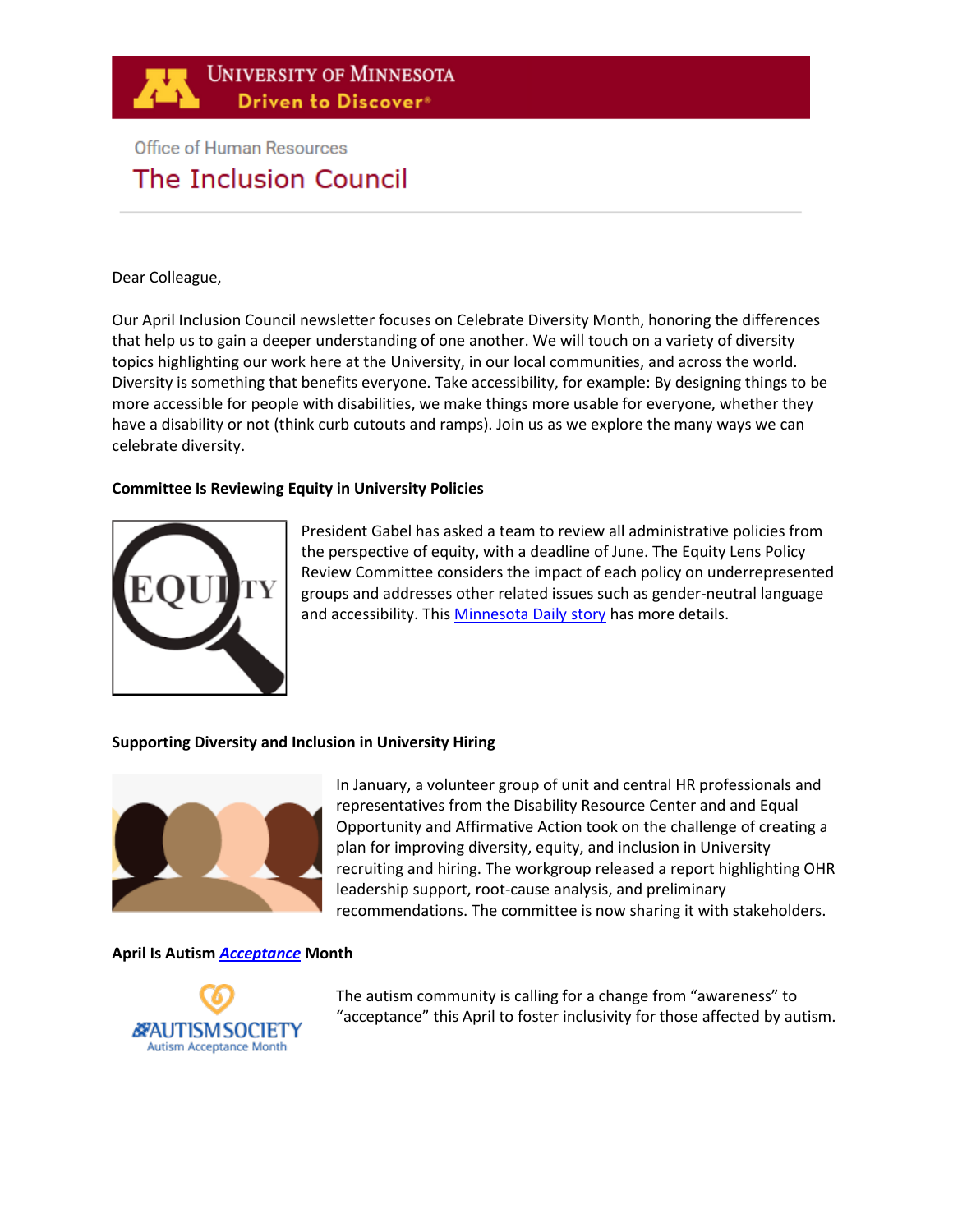

# **Office of Human Resources** The Inclusion Council

## Dear Colleague,

Our April Inclusion Council newsletter focuses on Celebrate Diversity Month, honoring the differences that help us to gain a deeper understanding of one another. We will touch on a variety of diversity topics highlighting our work here at the University, in our local communities, and across the world. Diversity is something that benefits everyone. Take accessibility, for example: By designing things to be more accessible for people with disabilities, we make things more usable for everyone, whether they have a disability or not (think curb cutouts and ramps). Join us as we explore the many ways we can celebrate diversity.

## **Committee Is Reviewing Equity in University Policies**



President Gabel has asked a team to review all administrative policies from the perspective of equity, with a deadline of June. The Equity Lens Policy Review Committee considers the impact of each policy on underrepresented groups and addresses other related issues such as gender-neutral language and accessibility. Thi[s Minnesota Daily story](https://mndaily.com/266129/news/committee-uses-equity-lens-to-review-every-university-administrative-policy/) has more details.

## **Supporting Diversity and Inclusion in University Hiring**



In January, a volunteer group of unit and central HR professionals and representatives from the Disability Resource Center and and Equal Opportunity and Affirmative Action took on the challenge of creating a plan for improving diversity, equity, and inclusion in University recruiting and hiring. The workgroup released a report highlighting OHR leadership support, root-cause analysis, and preliminary recommendations. The committee is now sharing it with stakeholders.

#### **[April Is Autism](https://www.autism-society.org/releases/media-urged-to-recognize-shift-from-autism-awareness-month-to-autism-acceptance-month-this-april/)** *Acceptance* **Month**



The autism community is calling for a change from "awareness" to "acceptance" this April to foster inclusivity for those affected by autism.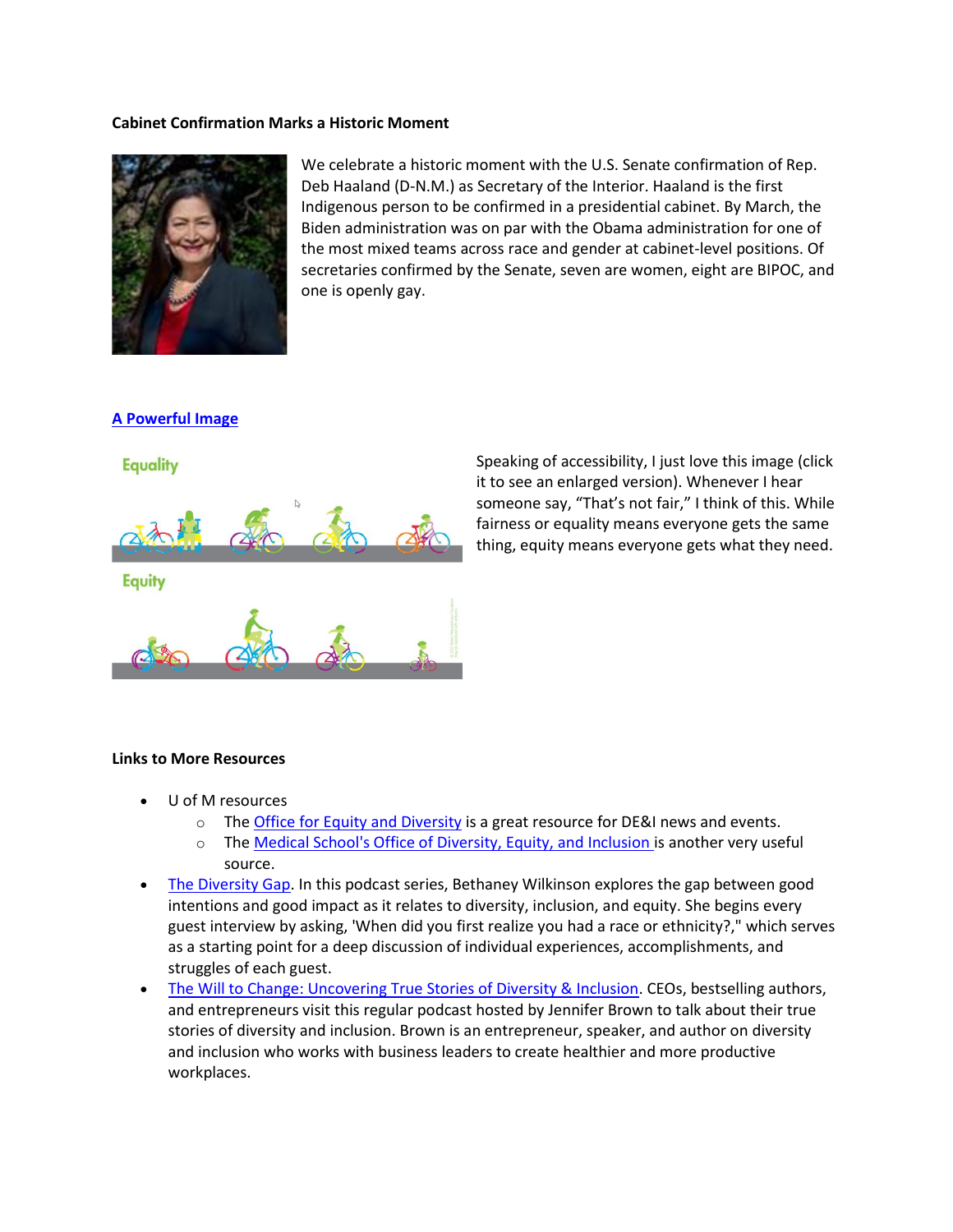### **Cabinet Confirmation Marks a Historic Moment**



We celebrate a historic moment with the U.S. Senate confirmation of Rep. Deb Haaland (D-N.M.) as Secretary of the Interior. Haaland is the first Indigenous person to be confirmed in a presidential cabinet. By March, the Biden administration was on par with the Obama administration for one of the most mixed teams across race and gender at cabinet-level positions. Of secretaries confirmed by the Senate, seven are women, eight are BIPOC, and one is openly gay.

## **[A Powerful Image](https://momentousinstitute.org/blog/equity-why-talk-about-it-with-children)**



Speaking of accessibility, I just love this image (click it to see an enlarged version). Whenever I hear someone say, "That's not fair," I think of this. While fairness or equality means everyone gets the same thing, equity means everyone gets what they need.

## **Links to More Resources**

- U of M resources
	- $\circ$  The [Office for Equity and Diversity](https://diversity.umn.edu/news-events) is a great resource for DE&I news and events.
	- o The [Medical School's Office of Diversity, Equity, and Inclusion i](https://med.umn.edu/odei)s another very useful source.
- [The Diversity Gap.](https://www.feedspot.com/infiniterss.php?_src=feed_title&followfeedid=5121912&q=site:https%3A%2F%2Ffeeds.simplecast.com%2Fc62oK07Q) In this podcast series, Bethaney Wilkinson explores the gap between good intentions and good impact as it relates to diversity, inclusion, and equity. She begins every guest interview by asking, 'When did you first realize you had a race or ethnicity?," which serves as a starting point for a deep discussion of individual experiences, accomplishments, and struggles of each guest.
- [The Will to Change: Uncovering True Stories of Diversity & Inclusion.](https://www.feedspot.com/infiniterss.php?_src=feed_title&followfeedid=5121916&q=site:https%3A%2F%2Fwilltochange.libsyn.com%2Frss) CEOs, bestselling authors, and entrepreneurs visit this regular podcast hosted by Jennifer Brown to talk about their true stories of diversity and inclusion. Brown is an entrepreneur, speaker, and author on diversity and inclusion who works with business leaders to create healthier and more productive workplaces.